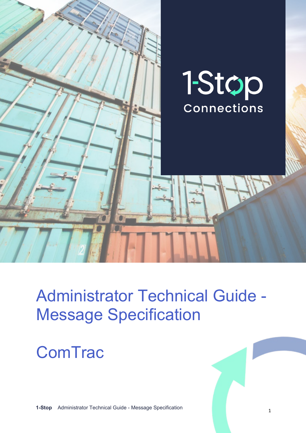

# Administrator Technical Guide - Message Specification

# **ComTrac**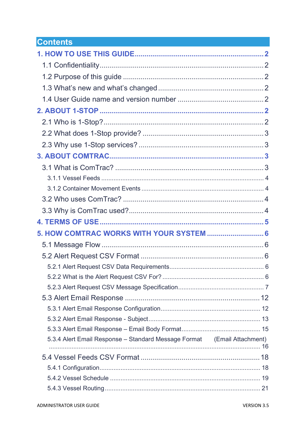# **Contents**

| 5. HOW COMTRAC WORKS WITH YOUR SYSTEM  6                                |  |
|-------------------------------------------------------------------------|--|
|                                                                         |  |
|                                                                         |  |
|                                                                         |  |
|                                                                         |  |
|                                                                         |  |
|                                                                         |  |
|                                                                         |  |
|                                                                         |  |
|                                                                         |  |
| 5.3.4 Alert Email Response – Standard Message Format (Email Attachment) |  |
|                                                                         |  |
|                                                                         |  |
|                                                                         |  |
|                                                                         |  |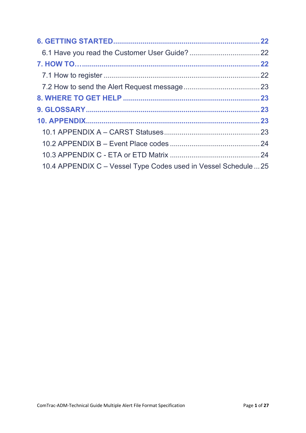| 10.4 APPENDIX C – Vessel Type Codes used in Vessel Schedule  25 |  |
|-----------------------------------------------------------------|--|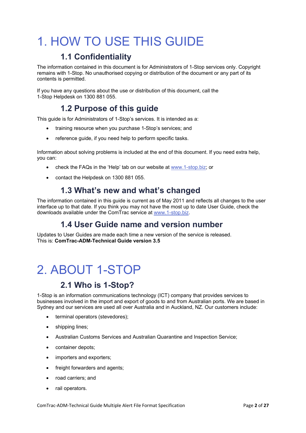# <span id="page-3-0"></span>1. HOW TO USE THIS GUIDE

## **1.1 Confidentiality**

<span id="page-3-1"></span>The information contained in this document is for Administrators of 1-Stop services only. Copyright remains with 1-Stop. No unauthorised copying or distribution of the document or any part of its contents is permitted.

<span id="page-3-2"></span>If you have any questions about the use or distribution of this document, call the 1-Stop Helpdesk on 1300 881 055.

# **1.2 Purpose of this guide**

This guide is for Administrators of 1-Stop's services. It is intended as a:

- training resource when you purchase 1-Stop's services; and
- reference guide, if you need help to perform specific tasks.

Information about solving problems is included at the end of this document. If you need extra help, you can:

- check the FAQs in the 'Help' tab on our website at [www.1-stop.biz;](http://www.1-stop.biz/) or
- <span id="page-3-3"></span>• contact the Helpdesk on 1300 881 055.

## **1.3 What's new and what's changed**

The information contained in this guide is current as of May 2011 and reflects all changes to the user interface up to that date. If you think you may not have the most up to date User Guide, check the downloads available under the ComTrac service at [www.1-stop.biz.](http://www.1-stop.biz/)

### **1.4 User Guide name and version number**

<span id="page-3-4"></span>Updates to User Guides are made each time a new version of the service is released. This is: **ComTrac-ADM-Technical Guide version 3.5**

# <span id="page-3-5"></span>2. ABOUT 1-STOP

# **2.1 Who is 1-Stop?**

<span id="page-3-6"></span>1-Stop is an information communications technology (ICT) company that provides services to businesses involved in the import and export of goods to and from Australian ports. We are based in Sydney and our services are used all over Australia and in Auckland, NZ. Our customers include:

- terminal operators (stevedores);
- shipping lines;
- Australian Customs Services and Australian Quarantine and Inspection Service;
- container depots;
- importers and exporters;
- freight forwarders and agents;
- road carriers; and
- rail operators.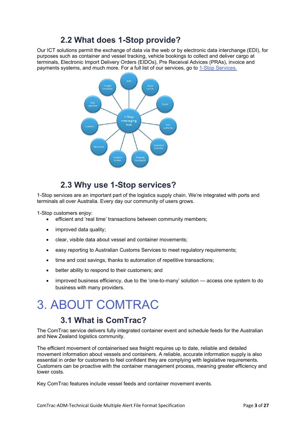# **2.2 What does 1-Stop provide?**

<span id="page-4-0"></span>Our ICT solutions permit the exchange of data via the web or by electronic data interchange (EDI), for purposes such as container and vessel tracking, vehicle bookings to collect and deliver cargo at terminals, Electronic Import Delivery Orders (EIDOs), Pre Receival Advices (PRAs), invoice and payments systems, and much more. For a full list of our services, go to [1-Stop Services.](http://www.1-stop.biz/Services/Pages/1-StopServices.aspx)



## **2.3 Why use 1-Stop services?**

<span id="page-4-1"></span>1-Stop services are an important part of the logistics supply chain. We're integrated with ports and terminals all over Australia. Every day our community of users grows.

1-Stop customers enjoy:

- efficient and 'real time' transactions between community members;
- improved data quality;
- clear, visible data about vessel and container movements;
- easy reporting to Australian Customs Services to meet regulatory requirements;
- time and cost savings, thanks to automation of repetitive transactions;
- better ability to respond to their customers; and
- improved business efficiency, due to the 'one-to-many' solution access one system to do business with many providers.

# <span id="page-4-2"></span>3. ABOUT COMTRAC

### **3.1 What is ComTrac?**

<span id="page-4-3"></span>The ComTrac service delivers fully integrated container event and schedule feeds for the Australian and New Zealand logistics community.

The efficient movement of containerised sea freight requires up to date, reliable and detailed movement information about vessels and containers. A reliable, accurate information supply is also essential in order for customers to feel confident they are complying with legislative requirements. Customers can be proactive with the container management process, meaning greater efficiency and lower costs.

Key ComTrac features include vessel feeds and container movement events.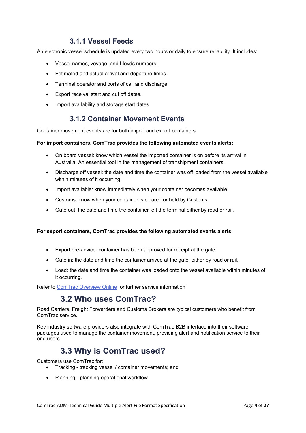#### **3.1.1 Vessel Feeds**

<span id="page-5-0"></span>An electronic vessel schedule is updated every two hours or daily to ensure reliability. It includes:

- Vessel names, voyage, and Lloyds numbers.
- Estimated and actual arrival and departure times.
- Terminal operator and ports of call and discharge.
- Export receival start and cut off dates.
- <span id="page-5-1"></span>• Import availability and storage start dates.

#### **3.1.2 Container Movement Events**

Container movement events are for both import and export containers.

#### **For import containers, ComTrac provides the following automated events alerts:**

- On board vessel: know which vessel the imported container is on before its arrival in Australia. An essential tool in the management of transhipment containers.
- Discharge off vessel: the date and time the container was off loaded from the vessel available within minutes of it occurring.
- Import available: know immediately when your container becomes available.
- Customs: know when your container is cleared or held by Customs.
- Gate out: the date and time the container left the terminal either by road or rail.

#### **For export containers, ComTrac provides the following automated events alerts.**

- Export pre-advice: container has been approved for receipt at the gate.
- Gate in: the date and time the container arrived at the gate, either by road or rail.
- Load: the date and time the container was loaded onto the vessel available within minutes of it occurring.

<span id="page-5-2"></span>Refer to [ComTrac Overview Online](http://www.1-stop.biz/Services/Pages/ComTracOverview.aspx) for further service information.

### **3.2 Who uses ComTrac?**

Road Carriers, Freight Forwarders and Customs Brokers are typical customers who benefit from ComTrac service.

Key industry software providers also integrate with ComTrac B2B interface into their software packages used to manage the container movement, providing alert and notification service to their end users.

# **3.3 Why is ComTrac used?**

<span id="page-5-3"></span>Customers use ComTrac for:

- Tracking tracking vessel / container movements; and
- Planning planning operational workflow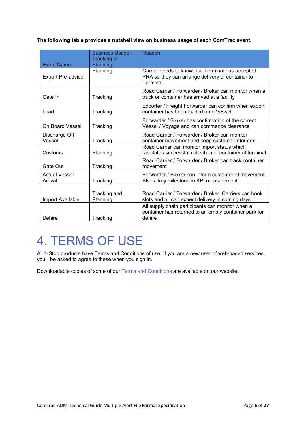**The following table provides a nutshell view on business usage of each ComTrac event.** 

| <b>Event Name</b>               | <b>Business Usage -</b><br><b>Tracking or</b><br>Planning | Reason                                                                                                              |
|---------------------------------|-----------------------------------------------------------|---------------------------------------------------------------------------------------------------------------------|
| <b>Export Pre-advice</b>        | Planning                                                  | Carrier needs to know that Terminal has accepted<br>PRA so they can arrange delivery of container to<br>Terminal.   |
| Gate In                         | Tracking                                                  | Road Carrier / Forwarder / Broker can monitor when a<br>truck or container has arrived at a facility                |
| Load                            | Tracking                                                  | Exporter / Freight Forwarder can confirm when export<br>container has been loaded onto Vessel                       |
| On Board Vessel                 | Tracking                                                  | Forwarder / Broker has confirmation of the correct<br>Vessel / Voyage and can commence clearance                    |
| Discharge Off<br>Vessel         | Tracking                                                  | Road Carrier / Forwarder / Broker can monitor<br>container movement and keep customer informed                      |
| Customs                         | Planning                                                  | Road Carrier can monitor import status which<br>facilitates successful collection of container at terminal          |
| Gate Out                        | Tracking                                                  | Road Carrier / Forwarder / Broker can track container<br>movement                                                   |
| <b>Actual Vessel</b><br>Arrival | Tracking                                                  | Forwarder / Broker can inform customer of movement.<br>Also a key milestone in KPI measurement                      |
| <b>Import Available</b>         | Tracking and<br>Planning                                  | Road Carrier / Forwarder / Broker, Carriers can book<br>slots and all can expect delivery in coming days            |
| Dehire                          | Tracking                                                  | All supply chain participants can monitor when a<br>container has returned to an empty container park for<br>dehire |

# <span id="page-6-0"></span>4. TERMS OF USE

All 1-Stop products have Terms and Conditions of use. If you are a new user of web-based services, you'll be asked to agree to these when you sign in.

Downloadable copies of some of our [Terms and Conditions](http://www.1-stop.biz/Pages/TermsAndConditionsOverview.aspx) are available on our website.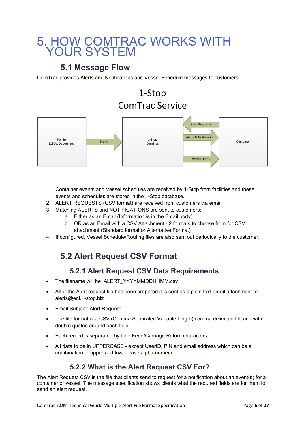# <span id="page-7-0"></span>5. HOW COMTRAC WORKS WITH YOUR SYSTEM

## **5.1 Message Flow**

<span id="page-7-1"></span>ComTrac provides Alerts and Notifications and Vessel Schedule messages to customers.

# 1-Stop ComTrac Service



- 1. Container events and Vessel schedules are received by 1-Stop from facilities and these events and schedules are stored in the 1-Stop database.
- 2. ALERT REQUESTS (CSV format) are received from customers via email
- 3. Matching ALERTS and NOTIFICATIONS are sent to customers:
	- a. Either as an Email (Information is in the Email body)
	- b. OR as an Email with a CSV Attachment 2 formats to choose from for CSV attachment (Standard format or Alternative Format)
- <span id="page-7-2"></span>4. If configured, Vessel Schedule/Routing files are also sent out periodically to the customer.

# **5.2 Alert Request CSV Format**

#### **5.2.1 Alert Request CSV Data Requirements**

- <span id="page-7-3"></span>• The filename will be ALERT\_YYYYMMDDHHMM.csv
- After the Alert request file has been prepared it is sent as a plain text email attachment to [alerts@edi.1-stop.biz](mailto:alerts@edi.1-stop.biz)
- Email Subject: Alert Request
- The file format is a CSV (Comma Separated Variable length) comma delimited file and with double quotes around each field.
- Each record is separated by Line Feed/Carriage Return characters.
- All data to be in UPPERCASE except UserID, PIN and email address which can be a combination of upper and lower case alpha-numeric

### **5.2.2 What is the Alert Request CSV For?**

<span id="page-7-4"></span>The Alert Request CSV is the file that clients send to request for a notification about an event(s) for a container or vessel. The message specification shows clients what the required fields are for them to send an alert request.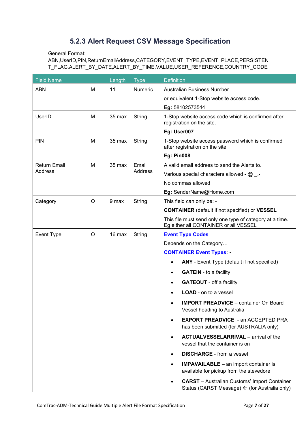### **5.2.3 Alert Request CSV Message Specification**

<span id="page-8-0"></span>General Format:

ABN,UserID,PIN,ReturnEmailAddress,CATEGORY,EVENT\_TYPE,EVENT\_PLACE,PERSISTEN T\_FLAG,ALERT\_BY\_DATE,ALERT\_BY\_TIME,VALUE,USER\_REFERENCE,COUNTRY\_CODE

| <b>Field Name</b>              |   | Length | <b>Type</b>             | <b>Definition</b>                                                                                    |
|--------------------------------|---|--------|-------------------------|------------------------------------------------------------------------------------------------------|
| <b>ABN</b>                     | M | 11     | Numeric                 | <b>Australian Business Number</b>                                                                    |
|                                |   |        |                         | or equivalent 1-Stop website access code.                                                            |
|                                |   |        |                         | Eg: 58102573544                                                                                      |
| UserID                         | M | 35 max | String                  | 1-Stop website access code which is confirmed after<br>registration on the site.                     |
|                                |   |        |                         | Eg: User007                                                                                          |
| PIN                            | M | 35 max | String                  | 1-Stop website access password which is confirmed<br>after registration on the site.                 |
|                                |   |        |                         | <b>Eg: Pin008</b>                                                                                    |
| <b>Return Email</b><br>Address | М | 35 max | Email<br><b>Address</b> | A valid email address to send the Alerts to.                                                         |
|                                |   |        |                         | Various special characters allowed - $@$ _ .-                                                        |
|                                |   |        |                         | No commas allowed                                                                                    |
|                                |   |        |                         | Eg: SenderName@Home.com                                                                              |
| Category                       | O | 9 max  | String                  | This field can only be: -                                                                            |
|                                |   |        |                         | <b>CONTAINER</b> (default if not specified) or VESSEL                                                |
|                                |   |        |                         | This file must send only one type of category at a time.<br>Eg either all CONTAINER or all VESSEL    |
| Event Type                     | O | 16 max | String                  | <b>Event Type Codes</b>                                                                              |
|                                |   |        |                         | Depends on the Category                                                                              |
|                                |   |        |                         | <b>CONTAINER Event Types: -</b>                                                                      |
|                                |   |        |                         | ANY - Event Type (default if not specified)                                                          |
|                                |   |        |                         | <b>GATEIN</b> - to a facility                                                                        |
|                                |   |        |                         | <b>GATEOUT</b> - off a facility                                                                      |
|                                |   |        |                         | <b>LOAD</b> - on to a vessel                                                                         |
|                                |   |        |                         | <b>IMPORT PREADVICE</b> – container On Board<br>Vessel heading to Australia                          |
|                                |   |        |                         | <b>EXPORT PREADVICE - an ACCEPTED PRA</b><br>has been submitted (for AUSTRALIA only)                 |
|                                |   |        |                         | <b>ACTUALVESSELARRIVAL</b> – arrival of the<br>vessel that the container is on                       |
|                                |   |        |                         | <b>DISCHARGE</b> - from a vessel                                                                     |
|                                |   |        |                         | <b>IMPAVAILABLE</b> – an import container is<br>$\bullet$<br>available for pickup from the stevedore |
|                                |   |        |                         | <b>CARST</b> – Australian Customs' Import Container<br>Status (CARST Message) ← (for Australia only) |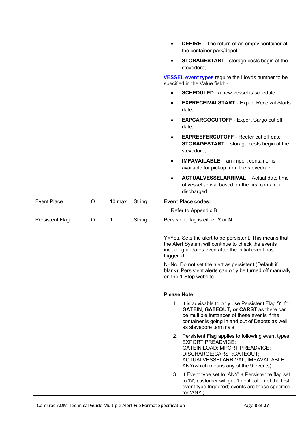|                        |   |        |        | <b>DEHIRE</b> – The return of an empty container at<br>the container park/depot.                                                                                                                                                     |
|------------------------|---|--------|--------|--------------------------------------------------------------------------------------------------------------------------------------------------------------------------------------------------------------------------------------|
|                        |   |        |        | <b>STORAGESTART</b> - storage costs begin at the<br>stevedore;                                                                                                                                                                       |
|                        |   |        |        | <b>VESSEL event types require the Lloyds number to be</b><br>specified in the Value field: -                                                                                                                                         |
|                        |   |        |        | <b>SCHEDULED-</b> a new vessel is schedule;                                                                                                                                                                                          |
|                        |   |        |        | <b>EXPRECEIVALSTART - Export Receival Starts</b><br>$\bullet$<br>date;                                                                                                                                                               |
|                        |   |        |        | <b>EXPCARGOCUTOFF</b> - Export Cargo cut off<br>date;                                                                                                                                                                                |
|                        |   |        |        | <b>EXPREEFERCUTOFF - Reefer cut off date</b><br>$\bullet$<br><b>STORAGESTART</b> – storage costs begin at the<br>stevedore;                                                                                                          |
|                        |   |        |        | <b>IMPAVAILABLE</b> - an import container is<br>٠<br>available for pickup from the stevedore.                                                                                                                                        |
|                        |   |        |        | <b>ACTUALVESSELARRIVAL</b> - Actual date time<br>of vessel arrival based on the first container<br>discharged.                                                                                                                       |
| <b>Event Place</b>     | O | 10 max | String | <b>Event Place codes:</b>                                                                                                                                                                                                            |
|                        |   |        |        | Refer to Appendix B                                                                                                                                                                                                                  |
| <b>Persistent Flag</b> | O | 1      | String |                                                                                                                                                                                                                                      |
|                        |   |        |        | Persistent flag is either Y or N.                                                                                                                                                                                                    |
|                        |   |        |        | Y=Yes. Sets the alert to be persistent. This means that<br>the Alert System will continue to check the events<br>including updates even after the initial event has<br>triggered.                                                    |
|                        |   |        |        | N=No. Do not set the alert as persistent (Default if<br>blank). Persistent alerts can only be turned off manually<br>on the 1-Stop website.                                                                                          |
|                        |   |        |        | <b>Please Note:</b>                                                                                                                                                                                                                  |
|                        |   |        |        | 1. It is advisable to only use Persistent Flag 'Y' for<br><b>GATEIN, GATEOUT, or CARST</b> as there can<br>be multiple instances of these events if the<br>container is going in and out of Depots as well<br>as stevedore terminals |
|                        |   |        |        | 2. Persistent Flag applies to following event types:<br><b>EXPORT PREADVICE;</b><br>GATEIN;LOAD;IMPORT PREADVICE;<br>DISCHARGE;CARST;GATEOUT;<br>ACTUALVESSELARRIVAL; IMPAVAILABLE;<br>ANY(which means any of the 9 events)          |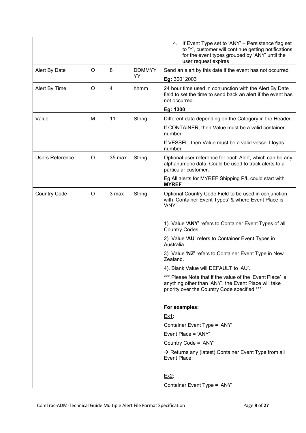|                     |   |        |               | 4. If Event Type set to 'ANY' + Persistence flag set<br>to 'Y', customer will continue getting notifications<br>for the event types grouped by 'ANY' until the<br>user request expires |
|---------------------|---|--------|---------------|----------------------------------------------------------------------------------------------------------------------------------------------------------------------------------------|
| Alert By Date       | O | 8      | <b>DDMMYY</b> | Send an alert by this date if the event has not occurred                                                                                                                               |
|                     |   |        | YY            | Eg: 30012003                                                                                                                                                                           |
| Alert By Time       | O | 4      | hhmm          | 24 hour time used in conjunction with the Alert By Date<br>field to set the time to send back an alert if the event has<br>not occurred.                                               |
|                     |   |        |               | Eg: 1300                                                                                                                                                                               |
| Value               | м | 11     | String        | Different data depending on the Category in the Header.                                                                                                                                |
|                     |   |        |               | If CONTAINER, then Value must be a valid container<br>number.                                                                                                                          |
|                     |   |        |               | If VESSEL, then Value must be a valid vessel Lloyds<br>number.                                                                                                                         |
| Users Reference     | O | 35 max | String        | Optional user reference for each Alert, which can be any<br>alphanumeric data. Could be used to track alerts to a<br>particular customer.                                              |
|                     |   |        |               | Eg All alerts for MYREF Shipping P/L could start with<br><b>MYREF</b>                                                                                                                  |
| <b>Country Code</b> | O | 3 max  | String        | Optional Country Code Field to be used in conjunction<br>with 'Container Event Types' & where Event Place is<br>'ANY'.                                                                 |
|                     |   |        |               | 1). Value 'ANY' refers to Container Event Types of all<br>Country Codes.                                                                                                               |
|                     |   |        |               | 2). Value 'AU' refers to Container Event Types in<br>Australia.                                                                                                                        |
|                     |   |        |               | 3). Value 'NZ' refers to Container Event Type in New<br>Zealand.                                                                                                                       |
|                     |   |        |               | 4). Blank Value will DEFAULT to 'AU'.                                                                                                                                                  |
|                     |   |        |               | *** Please Note that if the value of the 'Event Place' is<br>anything other than 'ANY', the Event Place will take<br>priority over the Country Code specified.***                      |
|                     |   |        |               | For examples:                                                                                                                                                                          |
|                     |   |        |               | Ex1:                                                                                                                                                                                   |
|                     |   |        |               | Container Event Type = 'ANY'                                                                                                                                                           |
|                     |   |        |               | Event Place = 'ANY'                                                                                                                                                                    |
|                     |   |        |               | Country Code = 'ANY'                                                                                                                                                                   |
|                     |   |        |               | $\rightarrow$ Returns any (latest) Container Event Type from all<br>Event Place.                                                                                                       |
|                     |   |        |               | $Ex2$ :                                                                                                                                                                                |
|                     |   |        |               | Container Event Type = 'ANY'                                                                                                                                                           |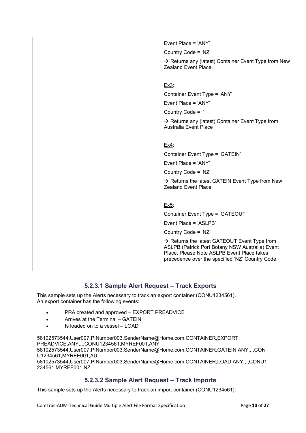|  |  | Event Place = 'ANY'                                                                                                                                                                                           |
|--|--|---------------------------------------------------------------------------------------------------------------------------------------------------------------------------------------------------------------|
|  |  | Country Code = 'NZ'                                                                                                                                                                                           |
|  |  | → Returns any (latest) Container Event Type from New<br>Zealand Event Place.                                                                                                                                  |
|  |  |                                                                                                                                                                                                               |
|  |  | Ex3:                                                                                                                                                                                                          |
|  |  | Container Event Type = 'ANY'                                                                                                                                                                                  |
|  |  | Event Place = 'ANY'                                                                                                                                                                                           |
|  |  | Country Code = $"$                                                                                                                                                                                            |
|  |  | $\rightarrow$ Returns any (latest) Container Event Type from<br><b>Australia Event Place</b>                                                                                                                  |
|  |  |                                                                                                                                                                                                               |
|  |  | $Ex4$ :                                                                                                                                                                                                       |
|  |  | Container Event Type = 'GATEIN'                                                                                                                                                                               |
|  |  | Event Place = 'ANY'                                                                                                                                                                                           |
|  |  | Country Code = 'NZ'                                                                                                                                                                                           |
|  |  | $\rightarrow$ Returns the latest GATEIN Event Type from New<br><b>Zealand Event Place</b>                                                                                                                     |
|  |  |                                                                                                                                                                                                               |
|  |  | Ex5:                                                                                                                                                                                                          |
|  |  | Container Event Type = 'GATEOUT'                                                                                                                                                                              |
|  |  | Event Place = 'ASLPB'                                                                                                                                                                                         |
|  |  | Country Code = 'NZ'                                                                                                                                                                                           |
|  |  | $\rightarrow$ Returns the latest GATEOUT Event Type from<br>ASLPB (Patrick Port Botany NSW Australia) Event<br>Place. Please Note ASLPB Event Place takes<br>precedence over the specified 'NZ' Country Code. |
|  |  |                                                                                                                                                                                                               |

#### **5.2.3.1 Sample Alert Request – Track Exports**

This sample sets up the Alerts necessary to track an export container (CONU1234561). An export container has the following events:

- PRA created and approved EXPORT PREADVICE
- Arrives at the Terminal GATEIN
- Is loaded on to a vessel LOAD

58102573544,User007,PINumber003,SenderName@Home.com,CONTAINER,EXPORT PREADVICE,ANY,,,,CONU1234561,MYREF001,ANY 58102573544,User007,PINumber003,SenderName@Home.com,CONTAINER,GATEIN,ANY,,,,CON U1234561,MYREF001,AU 58102573544,User007,PINumber003,SenderName@Home.com,CONTAINER,LOAD,ANY,,,,CONU1 234561,MYREF001,NZ

#### **5.2.3.2 Sample Alert Request – Track Imports**

This sample sets up the Alerts necessary to track an import container (CONU1234561).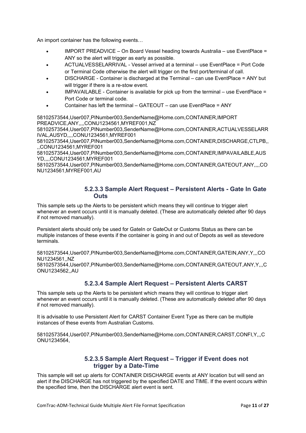An import container has the following events…

- IMPORT PREADVICE On Board Vessel heading towards Australia use EventPlace = ANY so the alert will trigger as early as possible.
- ACTUALVESSELARRIVAL Vessel arrived at a terminal use EventPlace = Port Code or Terminal Code otherwise the alert will trigger on the first port/terminal of call.
- DISCHARGE Container is discharged at the Terminal can use EventPlace = ANY but will trigger if there is a re-stow event.
- IMPAVAILABLE Container is available for pick up from the terminal use EventPlace = Port Code or terminal code.
- Container has left the terminal GATEOUT can use EventPlace = ANY

58102573544,User007,PINumber003,SenderName@Home.com,CONTAINER,IMPORT PREADVICE,ANY,,,,CONU1234561,MYREF001,NZ

58102573544,User007,PINumber003,SenderName@Home.com,CONTAINER,ACTUALVESSELARR IVAL,AUSYD,,,,CONU1234561,MYREF001

58102573544,User007,PINumber003,SenderName@Home.com,CONTAINER,DISCHARGE,CTLPB,, ,,CONU1234561,MYREF001

58102573544,User007,PINumber003,SenderName@Home.com,CONTAINER,IMPAVAILABLE,AUS YD,,,,CONU1234561,MYREF001

58102573544,User007,PINumber003,SenderName@Home.com,CONTAINER,GATEOUT,ANY,,,,CO NU1234561,MYREF001,AU

#### **5.2.3.3 Sample Alert Request – Persistent Alerts - Gate In Gate Outs**

This sample sets up the Alerts to be persistent which means they will continue to trigger alert whenever an event occurs until it is manually deleted. (These are automatically deleted after 90 days if not removed manually).

Persistent alerts should only be used for GateIn or GateOut or Customs Status as there can be multiple instances of these events if the container is going in and out of Depots as well as stevedore terminals.

58102573544,User007,PINumber003,SenderName@Home.com,CONTAINER,GATEIN,ANY,Y,,,CO NU1234561,,NZ

58102573544,User007,PINumber003,SenderName@Home.com,CONTAINER,GATEOUT,ANY,Y,,,C ONU1234562,,AU

#### **5.2.3.4 Sample Alert Request – Persistent Alerts CARST**

This sample sets up the Alerts to be persistent which means they will continue to trigger alert whenever an event occurs until it is manually deleted. (These are automatically deleted after 90 days if not removed manually).

It is advisable to use Persistent Alert for CARST Container Event Type as there can be multiple instances of these events from Australian Customs.

58102573544,User007,PINumber003,SenderName@Home.com,CONTAINER,CARST,CONFI,Y,,,C ONU1234564,

#### **5.2.3.5 Sample Alert Request – Trigger if Event does not trigger by a Date-Time**

This sample will set up alerts for CONTAINER DISCHARGE events at ANY location but will send an alert if the DISCHARGE has not triggered by the specified DATE and TIME. If the event occurs within the specified time, then the DISCHARGE alert event is sent.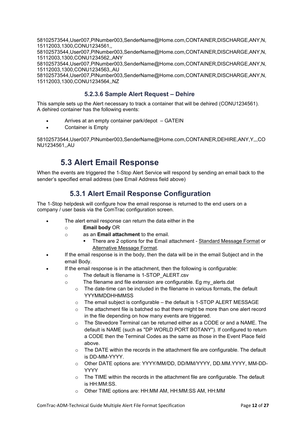58102573544,User007,PINumber003,SenderName@Home.com,CONTAINER,DISCHARGE,ANY,N, 15112003,1300,CONU1234561,,

58102573544,User007,PINumber003,SenderName@Home.com,CONTAINER,DISCHARGE,ANY,N, 15112003,1300,CONU1234562,,ANY

58102573544,User007,PINumber003,SenderName@Home.com,CONTAINER,DISCHARGE,ANY,N, 15112003,1300,CONU1234563,,AU

58102573544,User007,PINumber003,SenderName@Home.com,CONTAINER,DISCHARGE,ANY,N, 15112003,1300,CONU1234564,,NZ

#### **5.2.3.6 Sample Alert Request – Dehire**

This sample sets up the Alert necessary to track a container that will be dehired (CONU1234561). A dehired container has the following events:

- Arrives at an empty container park/depot GATEIN
- Container is Empty

58102573544,User007,PINumber003,SenderName@Home.com,CONTAINER,DEHIRE,ANY,Y,,,CO NU1234561,,AU

# **5.3 Alert Email Response**

<span id="page-13-1"></span><span id="page-13-0"></span>When the events are triggered the 1-Stop Alert Service will respond by sending an email back to the sender's specified email address (see Email Address field above)

#### **5.3.1 Alert Email Response Configuration**

The 1-Stop helpdesk will configure how the email response is returned to the end users on a company / user basis via the ComTrac configuration screen.

- The alert email response can return the data either in the
	- o **Email body** OR
	- o as an **Email attachment** to the email.
		- There are 2 options for the Email attachment Standard Message Format or Alternative Message Format.
- If the email response is in the body, then the data will be in the email Subject and in the email Body.
- If the email response is in the attachment, then the following is configurable:
	- o The default is filename is 1-STOP\_ALERT.csv
		- o The filename and file extension are configurable. Eg my\_alerts.dat
			- $\circ$  The date-time can be included in the filename in various formats, the default YYYMMDDHHMMSS
			- o The email subject is configurable the default is 1-STOP ALERT MESSAGE
			- $\circ$  The attachment file is batched so that there might be more than one alert record in the file depending on how many events are triggered.
			- $\circ$  The Stevedore Terminal can be returned either as a CODE or and a NAME. The default is NAME (such as "DP WORLD PORT BOTANY"). If configured to return a CODE then the Terminal Codes as the same as those in the Event Place field above.
			- $\circ$  The DATE within the records in the attachment file are configurable. The default is DD-MM-YYYY.
			- o Other DATE options are: YYYY/MM/DD, DD/MM/YYYY, DD.MM.YYYY, MM-DD-YYYY
			- $\circ$  The TIME within the records in the attachment file are configurable. The default is HH:MM:SS.
			- Other TIME options are: HH:MM AM, HH:MM:SS AM, HH:MM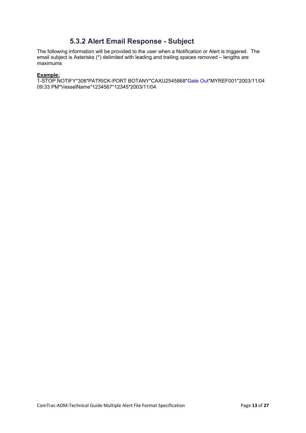#### **5.3.2 Alert Email Response - Subject**

<span id="page-14-0"></span>The following information will be provided to the user when a Notification or Alert is triggered. The email subject is Asterisks (\*) delimited with leading and trailing spaces removed – lengths are maximums

#### **Example:**

1-STOP NOTIFY\*308\*PATRICK-PORT BOTANY\*CAXU2545868\*Gate Out\*MYREF001\*2003/11/04 09:33 PM\*VesselName\*1234567\*12345\*2003/11/04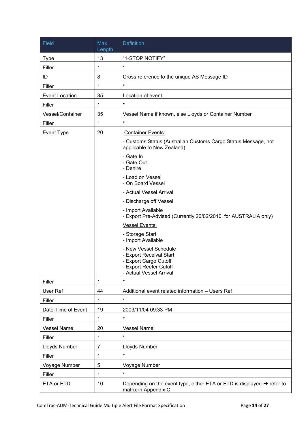| Field                 | Max<br>Length | <b>Definition</b>                                                                                                              |
|-----------------------|---------------|--------------------------------------------------------------------------------------------------------------------------------|
| <b>Type</b>           | 13            | "1-STOP NOTIFY"                                                                                                                |
| Filler                | 1             | $\star$                                                                                                                        |
| ID                    | 8             | Cross reference to the unique AS Message ID                                                                                    |
| Filler                | 1             | $\star$                                                                                                                        |
| <b>Event Location</b> | 35            | Location of event                                                                                                              |
| Filler                | 1             | $\star$                                                                                                                        |
| Vessel/Container      | 35            | Vessel Name if known, else Lloyds or Container Number                                                                          |
| Filler                | 1             | $\star$                                                                                                                        |
| Event Type            | 20            | <b>Container Events:</b>                                                                                                       |
|                       |               | - Customs Status (Australian Customs Cargo Status Message, not<br>applicable to New Zealand)                                   |
|                       |               | - Gate In<br>- Gate Out<br>- Dehire                                                                                            |
|                       |               | - Load on Vessel<br>- On Board Vessel                                                                                          |
|                       |               | - Actual Vessel Arrival                                                                                                        |
|                       |               | - Discharge off Vessel                                                                                                         |
|                       |               | - Import Available<br>- Export Pre-Advised (Currently 26/02/2010, for AUSTRALIA only)                                          |
|                       |               | <b>Vessel Events:</b>                                                                                                          |
|                       |               | - Storage Start<br>- Import Available                                                                                          |
|                       |               | - New Vessel Schedule<br>- Export Receival Start<br>- Export Cargo Cutoff<br>- Export Reefer Cutoff<br>- Actual Vessel Arrival |
| Filler                | 1             | $\star$                                                                                                                        |
| User Ref              | 44            | Additional event related information - Users Ref                                                                               |
| Filler                | 1             | $\star$                                                                                                                        |
| Date-Time of Event    | 19            | 2003/11/04 09:33 PM                                                                                                            |
| Filler                | 1             | $\star$                                                                                                                        |
| <b>Vessel Name</b>    | 20            | <b>Vessel Name</b>                                                                                                             |
| Filler                | 1             | $\star$                                                                                                                        |
| Lloyds Number         | 7             | Lloyds Number                                                                                                                  |
| Filler                | 1             | $\star$                                                                                                                        |
| Voyage Number         | 5             | Voyage Number                                                                                                                  |
| Filler                | 1             | $\star$                                                                                                                        |
| ETA or ETD            | 10            | Depending on the event type, either ETA or ETD is displayed $\rightarrow$ refer to<br>matrix in Appendix C                     |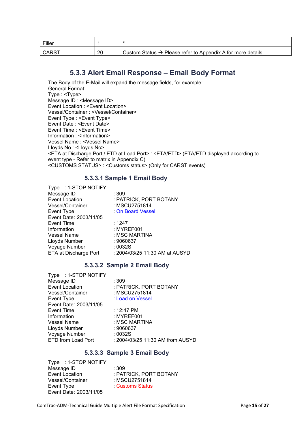| Filler       |    |                                                                          |
|--------------|----|--------------------------------------------------------------------------|
| <b>CARST</b> | 20 | Custom Status $\rightarrow$ Please refer to Appendix A for more details. |

#### **5.3.3 Alert Email Response – Email Body Format**

<span id="page-16-0"></span>The Body of the E-Mail will expand the message fields, for example: General Format: Type : <Type> Message ID : <Message ID> Event Location : <Event Location> Vessel/Container : <Vessel/Container> Event Type : <Event Type> Event Date : <Event Date> Event Time : <Event Time> Information : <Information> Vessel Name : <Vessel Name> Lloyds No : <Lloyds No> <ETA at Discharge Port / ETD at Load Port> : <ETA/ETD> (ETA/ETD displayed according to event type - Refer to matrix in Appendix C) <CUSTOMS STATUS> : <Customs status> (Only for CARST events)

#### **5.3.3.1 Sample 1 Email Body**

| : PATRICK, PORT BOTANY         |
|--------------------------------|
|                                |
|                                |
|                                |
|                                |
|                                |
|                                |
|                                |
|                                |
| : 2004/03/25 11:30 AM at AUSYD |
|                                |

#### **5.3.3.2 Sample 2 Email Body**

| Type : 1-STOP NOTIFY   |                                  |
|------------------------|----------------------------------|
| Message ID             | : 309                            |
| <b>Event Location</b>  | : PATRICK, PORT BOTANY           |
| Vessel/Container       | : MSCU2751814                    |
| Event Type             | Load on Vessel                   |
| Event Date: 2003/11/05 |                                  |
| Event Time             | : 12:47 PM                       |
| Information            | : MYREF001                       |
| <b>Vessel Name</b>     | : MSC MARTINA                    |
| Lloyds Number          | : 9060637                        |
| Voyage Number          | :0032S                           |
| ETD from Load Port     | : 2004/03/25 11:30 AM from AUSYD |

#### **5.3.3.3 Sample 3 Email Body**

Type : 1-STOP NOTIFY Message ID <br>
Event Location 
and the Second Health PAT Vessel/Container<br>Event Type Event Date: 2003/11/05

: PATRICK, PORT BOTANY<br>: MSCU2751814 **Customs Status**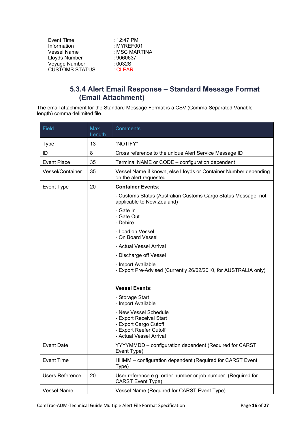| Event Time            | : $12:47 \text{ PM}$ |
|-----------------------|----------------------|
| Information           | : MYREF001           |
| Vessel Name           | : MSC MARTINA        |
| Lloyds Number         | : 9060637            |
| Voyage Number         | :0032S               |
| <b>CUSTOMS STATUS</b> | <b>CLEAR</b>         |
|                       |                      |

### **5.3.4 Alert Email Response – Standard Message Format (Email Attachment)**

<span id="page-17-0"></span>The email attachment for the Standard Message Format is a CSV (Comma Separated Variable length) comma delimited file.

| Field                  | Max<br>Length | <b>Comments</b>                                                                                                                |  |  |
|------------------------|---------------|--------------------------------------------------------------------------------------------------------------------------------|--|--|
| Type                   | 13            | "NOTIFY"                                                                                                                       |  |  |
| ID                     | 8             | Cross reference to the unique Alert Service Message ID                                                                         |  |  |
| <b>Event Place</b>     | 35            | Terminal NAME or CODE - configuration dependent                                                                                |  |  |
| Vessel/Container       | 35            | Vessel Name if known, else Lloyds or Container Number depending<br>on the alert requested.                                     |  |  |
| Event Type             | 20            | <b>Container Events:</b>                                                                                                       |  |  |
|                        |               | - Customs Status (Australian Customs Cargo Status Message, not<br>applicable to New Zealand)                                   |  |  |
|                        |               | - Gate In<br>- Gate Out<br>- Dehire                                                                                            |  |  |
|                        |               | - Load on Vessel<br>- On Board Vessel                                                                                          |  |  |
|                        |               | - Actual Vessel Arrival                                                                                                        |  |  |
|                        |               | - Discharge off Vessel                                                                                                         |  |  |
|                        |               | - Import Available<br>- Export Pre-Advised (Currently 26/02/2010, for AUSTRALIA only)                                          |  |  |
|                        |               | <b>Vessel Events:</b>                                                                                                          |  |  |
|                        |               | - Storage Start<br>- Import Available                                                                                          |  |  |
|                        |               | - New Vessel Schedule<br>- Export Receival Start<br>- Export Cargo Cutoff<br>- Export Reefer Cutoff<br>- Actual Vessel Arrival |  |  |
| <b>Event Date</b>      |               | YYYYMMDD - configuration dependent (Required for CARST<br>Event Type)                                                          |  |  |
| <b>Event Time</b>      |               | HHMM - configuration dependent (Required for CARST Event<br>Type)                                                              |  |  |
| <b>Users Reference</b> | 20            | User reference e.g. order number or job number. (Required for<br><b>CARST Event Type)</b>                                      |  |  |
| <b>Vessel Name</b>     |               | Vessel Name (Required for CARST Event Type)                                                                                    |  |  |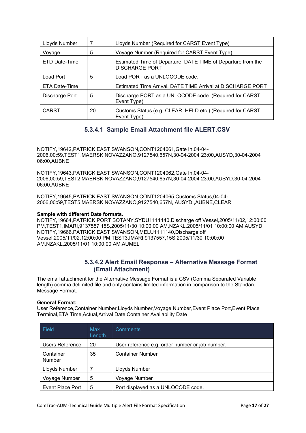| Lloyds Number  | 7  | Lloyds Number (Required for CARST Event Type)                                         |
|----------------|----|---------------------------------------------------------------------------------------|
| Voyage         | 5  | Voyage Number (Required for CARST Event Type)                                         |
| ETD Date-Time  |    | Estimated Time of Departure. DATE TIME of Departure from the<br><b>DISCHARGE PORT</b> |
| Load Port      | 5  | Load PORT as a UNLOCODE code.                                                         |
| ETA Date-Time  |    | Estimated Time Arrival. DATE TIME Arrival at DISCHARGE PORT                           |
| Discharge Port | 5  | Discharge PORT as a UNLOCODE code. (Required for CARST<br>Event Type)                 |
| <b>CARST</b>   | 20 | Customs Status (e.g. CLEAR, HELD etc.) (Required for CARST<br>Event Type)             |

#### **5.3.4.1 Sample Email Attachment file ALERT.CSV**

NOTIFY,19642,PATRICK EAST SWANSON,CONT1204061,Gate In,04-04- 2006,00:59,TEST1,MAERSK NOVAZZANO,9127540,657N,30-04-2004 23:00,AUSYD,30-04-2004 06:00,AUBNE

NOTIFY,19643,PATRICK EAST SWANSON,CONT1204062,Gate In,04-04- 2006,00:59,TEST2,MAERSK NOVAZZANO,9127540,657N,30-04-2004 23:00,AUSYD,30-04-2004 06:00,AUBNE

NOTIFY,19645,PATRICK EAST SWANSON,CONT1204065,Customs Status,04-04- 2006,00:59,TEST5,MAERSK NOVAZZANO,9127540,657N,,AUSYD,,AUBNE,CLEAR

#### **Sample with different Date formats.**

NOTIFY,19664,PATRICK PORT BOTANY,SYDU1111140,Discharge off Vessel,2005/11/02,12:00:00 PM,TEST1,IMARI,9137557,15S,2005/11/30 10:00:00 AM,NZAKL,2005/11/01 10:00:00 AM,AUSYD NOTIFY,19666,PATRICK EAST SWANSON,MELU1111140,Discharge off Vessel,2005/11/02,12:00:00 PM,TEST3,IMARI,9137557,15S,2005/11/30 10:00:00 AM,NZAKL,2005/11/01 10:00:00 AM,AUMEL

#### **5.3.4.2 Alert Email Response – Alternative Message Format (Email Attachment)**

The email attachment for the Alternative Message Format is a CSV (Comma Separated Variable length) comma delimited file and only contains limited information in comparison to the Standard Message Format.

#### **General Format:**

User Reference,Container Number,Lloyds Number,Voyage Number,Event Place Port,Event Place Terminal,ETA Time,Actual,Arrival Date,Container Availability Date

| Field                      | Max<br>Length | Comments                                        |
|----------------------------|---------------|-------------------------------------------------|
| Users Reference            | 20            | User reference e.g. order number or job number. |
| Container<br><b>Number</b> | 35            | <b>Container Number</b>                         |
| Lloyds Number              |               | Lloyds Number                                   |
| Voyage Number              | 5             | Voyage Number                                   |
| Event Place Port           | 5             | Port displayed as a UNLOCODE code.              |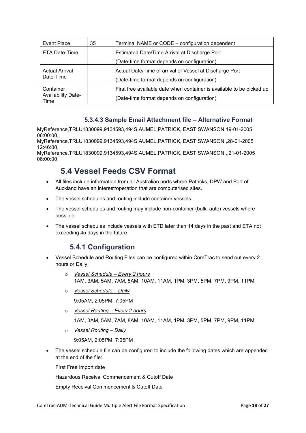| Event Place                                    | 35 | Terminal NAME or CODE – configuration dependent                                                                      |
|------------------------------------------------|----|----------------------------------------------------------------------------------------------------------------------|
| ETA Date-Time                                  |    | Estimated Date/Time Arrival at Discharge Port                                                                        |
|                                                |    | (Date-time format depends on configuration)                                                                          |
| <b>Actual Arrival</b><br>Date-Time             |    | Actual Date/Time of arrival of Vessel at Discharge Port<br>(Date-time format depends on configuration)               |
| Container<br><b>Availability Date-</b><br>Time |    | First free available date when container is available to be picked up<br>(Date-time format depends on configuration) |

#### **5.3.4.3 Sample Email Attachment file – Alternative Format**

MyReference,TRLU1830099,9134593,494S,AUMEL,PATRICK, EAST SWANSON,19-01-2005 06:00:00,,

MyReference,TRLU1830099,9134593,494S,AUMEL,PATRICK, EAST SWANSON,,28-01-2005 12:46:00,

<span id="page-19-0"></span>MyReference,TRLU1830099,9134593,494S,AUMEL,PATRICK, EAST SWANSON,,,21-01-2005 06:00:00

### **5.4 Vessel Feeds CSV Format**

- All files include information from all Australian ports where Patricks, DPW and Port of Auckland have an interest/operation that are computerised sites.
- The vessel schedules and routing include container vessels.
- The vessel schedules and routing may include non-container (bulk, auto) vessels where possible.
- <span id="page-19-1"></span>• The vessel schedules include vessels with ETD later than 14 days in the past and ETA not exceeding 45 days in the future.

#### **5.4.1 Configuration**

- Vessel Schedule and Routing Files can be configured within ComTrac to send out every 2 hours or Daily:
	- o *Vessel Schedule Every 2 hours* 1AM, 3AM, 5AM, 7AM, 8AM, 10AM, 11AM, 1PM, 3PM, 5PM, 7PM, 9PM, 11PM
	- o *Vessel Schedule Daily*

9:05AM, 2:05PM, 7:05PM

o *Vessel Routing – Every 2 hours*

1AM, 3AM, 5AM, 7AM, 8AM, 10AM, 11AM, 1PM, 3PM, 5PM, 7PM, 9PM, 11PM

o *Vessel Routing – Daily*

9:05AM, 2:05PM, 7:05PM

• The vessel schedule file can be configured to include the following dates which are appended at the end of the file:

First Free Import date

Hazardous Receival Commencement & Cutoff Date

Empty Receival Commencement & Cutoff Date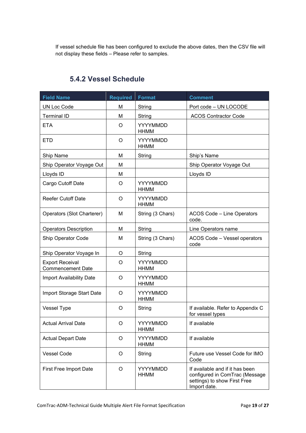If vessel schedule file has been configured to exclude the above dates, then the CSV file will not display these fields – Please refer to samples.

<span id="page-20-0"></span>

| <b>Field Name</b>                                  | <b>Required</b> | Format                         | <b>Comment</b>                                                                                                    |
|----------------------------------------------------|-----------------|--------------------------------|-------------------------------------------------------------------------------------------------------------------|
| <b>UN Loc Code</b>                                 | M               | String                         | Port code - UN LOCODE                                                                                             |
| <b>Terminal ID</b>                                 | M               | String                         | <b>ACOS Contractor Code</b>                                                                                       |
| <b>ETA</b>                                         | O               | YYYYMMDD<br><b>HHMM</b>        |                                                                                                                   |
| <b>ETD</b>                                         | O               | YYYYMMDD<br><b>HHMM</b>        |                                                                                                                   |
| Ship Name                                          | M               | String                         | Ship's Name                                                                                                       |
| Ship Operator Voyage Out                           | M               |                                | Ship Operator Voyage Out                                                                                          |
| Lloyds ID                                          | M               |                                | Lloyds ID                                                                                                         |
| Cargo Cutoff Date                                  | O               | YYYYMMDD<br><b>HHMM</b>        |                                                                                                                   |
| <b>Reefer Cutoff Date</b>                          | O               | YYYYMMDD<br><b>HHMM</b>        |                                                                                                                   |
| Operators (Slot Charterer)                         | M               | String (3 Chars)               | <b>ACOS Code - Line Operators</b><br>code.                                                                        |
| <b>Operators Description</b>                       | M               | String                         | Line Operators name                                                                                               |
| Ship Operator Code                                 | M               | String (3 Chars)               | ACOS Code - Vessel operators<br>code                                                                              |
| Ship Operator Voyage In                            | O               | String                         |                                                                                                                   |
| <b>Export Receival</b><br><b>Commencement Date</b> | O               | YYYYMMDD<br><b>HHMM</b>        |                                                                                                                   |
| Import Availability Date                           | O               | YYYYMMDD<br><b>HHMM</b>        |                                                                                                                   |
| Import Storage Start Date                          | O               | YYYYMMDD<br><b>HHMM</b>        |                                                                                                                   |
| <b>Vessel Type</b>                                 | O               | String                         | If available. Refer to Appendix C<br>for vessel types                                                             |
| <b>Actual Arrival Date</b>                         | O               | YYYYMMDD<br><b>HHMM</b>        | If available                                                                                                      |
| <b>Actual Depart Date</b>                          | O               | YYYYMMDD<br><b>HHMM</b>        | If available                                                                                                      |
| <b>Vessel Code</b>                                 | O               | String                         | Future use Vessel Code for IMO<br>Code                                                                            |
| First Free Import Date                             | O               | <b>YYYYMMDD</b><br><b>HHMM</b> | If available and if it has been<br>configured in ComTrac (Message<br>settings) to show First Free<br>Import date. |

### **5.4.2 Vessel Schedule**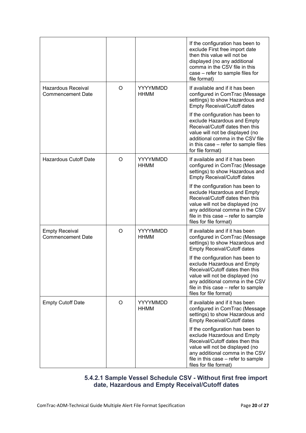|                                                   |   |                                | If the configuration has been to<br>exclude First free import date<br>then this value will not be<br>displayed (no any additional<br>comma in the CSV file in this<br>case - refer to sample files for<br>file format)                    |
|---------------------------------------------------|---|--------------------------------|-------------------------------------------------------------------------------------------------------------------------------------------------------------------------------------------------------------------------------------------|
| Hazardous Receival<br><b>Commencement Date</b>    | O | YYYYMMDD<br>HHMM               | If available and if it has been<br>configured in ComTrac (Message<br>settings) to show Hazardous and<br><b>Empty Receival/Cutoff dates</b>                                                                                                |
|                                                   |   |                                | If the configuration has been to<br>exclude Hazardous and Empty<br>Receival/Cutoff dates then this<br>value will not be displayed (no<br>additional comma in the CSV file<br>in this case – refer to sample files<br>for file format)     |
| <b>Hazardous Cutoff Date</b>                      | O | YYYYMMDD<br><b>HHMM</b>        | If available and if it has been<br>configured in ComTrac (Message<br>settings) to show Hazardous and<br><b>Empty Receival/Cutoff dates</b>                                                                                                |
|                                                   |   |                                | If the configuration has been to<br>exclude Hazardous and Empty<br>Receival/Cutoff dates then this<br>value will not be displayed (no<br>any additional comma in the CSV<br>file in this case – refer to sample<br>files for file format) |
| <b>Empty Receival</b><br><b>Commencement Date</b> | O | YYYYMMDD<br><b>HHMM</b>        | If available and if it has been<br>configured in ComTrac (Message<br>settings) to show Hazardous and<br><b>Empty Receival/Cutoff dates</b>                                                                                                |
|                                                   |   |                                | If the configuration has been to<br>exclude Hazardous and Empty<br>Receival/Cutoff dates then this<br>value will not be displayed (no<br>any additional comma in the CSV<br>file in this case - refer to sample<br>files for file format) |
| <b>Empty Cutoff Date</b>                          | O | <b>YYYYMMDD</b><br><b>HHMM</b> | If available and if it has been<br>configured in ComTrac (Message<br>settings) to show Hazardous and<br><b>Empty Receival/Cutoff dates</b>                                                                                                |
|                                                   |   |                                | If the configuration has been to<br>exclude Hazardous and Empty<br>Receival/Cutoff dates then this<br>value will not be displayed (no<br>any additional comma in the CSV<br>file in this case – refer to sample<br>files for file format) |

#### **5.4.2.1 Sample Vessel Schedule CSV - Without first free import date, Hazardous and Empty Receival/Cutoff dates**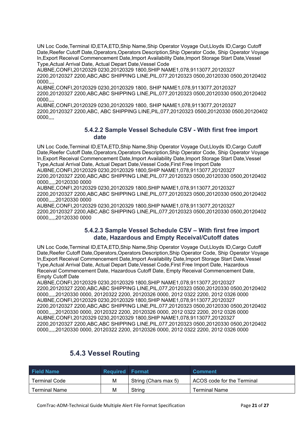UN Loc Code,Terminal ID,ETA,ETD,Ship Name,Ship Operator Voyage Out,Lloyds ID,Cargo Cutoff Date,Reefer Cutoff Date,Operators,Operators Description,Ship Operator Code, Ship Operator Voyage In,Export Receival Commencement Date,Import Availability Date,Import Storage Start Date,Vessel Type,Actual Arrival Date, Actual Depart Date,Vessel Code

AUBNE,CONFI,20120329 0230,20120329 1800,SHIP NAME1,078,9113077,20120327 2200,20120327 2200,ABC,ABC SHIPPING LINE,PIL,077,20120323 0500,20120330 0500,20120402 0000,,,,

AUBNE,CONFI,20120329 0230,20120329 1800, SHIP NAME1,078,9113077,20120327 2200,20120327 2200,ABC,ABC SHIPPING LINE,PIL,077,20120323 0500,20120330 0500,20120402 0000,,,,

AUBNE,CONFI,20120329 0230,20120329 1800, SHIP NAME1,078,9113077,20120327 2200,20120327 2200,ABC, ABC SHIPPING LINE,PIL,077,20120323 0500,20120330 0500,20120402 0000,,,,

#### **5.4.2.2 Sample Vessel Schedule CSV - With first free import date**

UN Loc Code,Terminal ID,ETA,ETD,Ship Name,Ship Operator Voyage Out,Lloyds ID,Cargo Cutoff Date,Reefer Cutoff Date,Operators,Operators Description,Ship Operator Code, Ship Operator Voyage In,Export Receival Commencement Date,Import Availability Date,Import Storage Start Date,Vessel Type,Actual Arrival Date, Actual Depart Date,Vessel Code,First Free Import Date AUBNE,CONFI,20120329 0230,20120329 1800,SHIP NAME1,078,9113077,20120327 2200,20120327 2200,ABC,ABC SHIPPING LINE,PIL,077,20120323 0500,20120330 0500,20120402 0000,,,,,20120330 0000

AUBNE,CONFI,20120329 0230,20120329 1800,SHIP NAME1,078,9113077,20120327 2200,20120327 2200,ABC,ABC SHIPPING LINE,PIL,077,20120323 0500,20120330 0500,20120402 0000,,,,,20120330 0000

AUBNE,CONFI,20120329 0230,20120329 1800,SHIP NAME1,078,9113077,20120327 2200,20120327 2200,ABC,ABC SHIPPING LINE,PIL,077,20120323 0500,20120330 0500,20120402 0000,,,,,20120330 0000

#### **5.4.2.3 Sample Vessel Schedule CSV – With first free import date, Hazardous and Empty Receival/Cutoff dates**

UN Loc Code,Terminal ID,ETA,ETD,Ship Name,Ship Operator Voyage Out,Lloyds ID,Cargo Cutoff Date,Reefer Cutoff Date,Operators,Operators Description,Ship Operator Code, Ship Operator Voyage In,Export Receival Commencement Date,Import Availability Date,Import Storage Start Date,Vessel Type,Actual Arrival Date, Actual Depart Date,Vessel Code,First Free Import Date, Hazardous Receival Commencement Date, Hazardous Cutoff Date, Empty Receival Commencement Date, Empty Cutoff Date

AUBNE,CONFI,20120329 0230,20120329 1800,SHIP NAME1,078,9113077,20120327 2200,20120327 2200,ABC,ABC SHIPPING LINE,PIL,077,20120323 0500,20120330 0500,20120402 0000,,,,,20120330 0000, 20120322 2200, 20120326 0000, 2012 0322 2200, 2012 0326 0000 AUBNE,CONFI,20120329 0230,20120329 1800,SHIP NAME1,078,9113077,20120327 2200,20120327 2200,ABC,ABC SHIPPING LINE,PIL,077,20120323 0500,20120330 0500,20120402 0000,,,,,20120330 0000, 20120322 2200, 20120326 0000, 2012 0322 2200, 2012 0326 0000 AUBNE,CONFI,20120329 0230,20120329 1800,SHIP NAME1,078,9113077,20120327 2200,20120327 2200,ABC,ABC SHIPPING LINE,PIL,077,20120323 0500,20120330 0500,20120402 0000,,,,,20120330 0000, 20120322 2200, 20120326 0000, 2012 0322 2200, 2012 0326 0000

<span id="page-22-0"></span>

| <b>Field Name</b>    | <b>Required Format</b> |                      | <b>Comment</b>             |
|----------------------|------------------------|----------------------|----------------------------|
| <b>Terminal Code</b> | М                      | String (Chars max 5) | ACOS code for the Terminal |
| Terminal Name        | М                      | String               | Terminal Name              |

#### **5.4.3 Vessel Routing**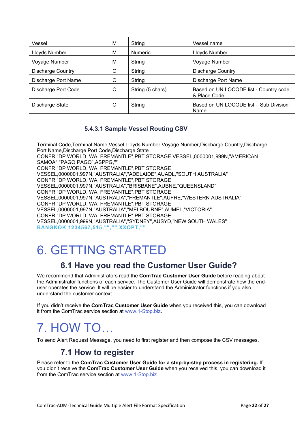| Vessel                   | м | String           | Vessel name                                            |
|--------------------------|---|------------------|--------------------------------------------------------|
| Lloyds Number            | М | <b>Numeric</b>   | Lloyds Number                                          |
| Voyage Number            | М | String           | Voyage Number                                          |
| <b>Discharge Country</b> | O | String           | <b>Discharge Country</b>                               |
| Discharge Port Name      | Ω | String           | Discharge Port Name                                    |
| Discharge Port Code      | O | String (5 chars) | Based on UN LOCODE list - Country code<br>& Place Code |
| Discharge State          | O | String           | Based on UN LOCODE list - Sub Division<br>Name         |

#### **5.4.3.1 Sample Vessel Routing CSV**

Terminal Code,Terminal Name,Vessel,Lloyds Number,Voyage Number,Discharge Country,Discharge Port Name,Discharge Port Code,Discharge State CONFR,"DP WORLD, WA, FREMANTLE",PBT STORAGE VESSEL,0000001,999N,"AMERICAN SAMOA","PAGO PAGO",ASPPG,"" CONFR,"DP WORLD, WA, FREMANTLE",PBT STORAGE VESSEL,0000001,997N,"AUSTRALIA","ADELAIDE",AUADL,"SOUTH AUSTRALIA" CONFR,"DP WORLD, WA, FREMANTLE",PBT STORAGE VESSEL,0000001,997N,"AUSTRALIA","BRISBANE",AUBNE,"QUEENSLAND" CONFR,"DP WORLD, WA, FREMANTLE",PBT STORAGE VESSEL,0000001,997N,"AUSTRALIA","FREMANTLE",AUFRE,"WESTERN AUSTRALIA" CONFR,"DP WORLD, WA, FREMANTLE",PBT STORAGE VESSEL,0000001,997N,"AUSTRALIA","MELBOURNE",AUMEL,"VICTORIA" CONFR,"DP WORLD, WA, FREMANTLE",PBT STORAGE VESSEL,0000001,999N,"AUSTRALIA","SYDNEY",AUSYD,"NEW SOUTH WALES" **BANGKOK,1234567,515,"","",XXOPT,""**

# <span id="page-23-0"></span>6. GETTING STARTED

# **6.1 Have you read the Customer User Guide?**

<span id="page-23-1"></span>We recommend that Administrators read the **ComTrac Customer User Guide** before reading about the Administrator functions of each service. The Customer User Guide will demonstrate how the enduser operates the service. It will be easier to understand the Administrator functions if you also understand the customer context.

If you didn't receive the **ComTrac Customer User Guide** when you received this, you can download it from the ComTrac service section at [www.1-Stop.biz.](http://www.1-stop.biz/)

# <span id="page-23-2"></span>7. HOW TO…

<span id="page-23-3"></span>To send Alert Request Message, you need to first register and then compose the CSV messages.

## **7.1 How to register**

Please refer to the **ComTrac Customer User Guide for a step-by-step process in registering.** If you didn't receive the **ComTrac Customer User Guide** when you received this, you can download it from the ComTrac service section at [www.1-Stop.biz](http://www.1-stop.biz/)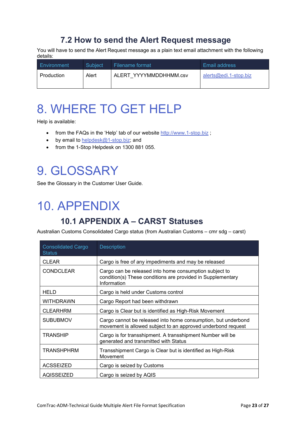# **7.2 How to send the Alert Request message**

<span id="page-24-0"></span>You will have to send the Alert Request message as a plain text email attachment with the following details:

| Environment | Subject | Filename format        | Email address         |
|-------------|---------|------------------------|-----------------------|
| Production  | Alert   | ALERT YYYYMMDDHHMM.csv | alerts@edi.1-stop.biz |

# <span id="page-24-1"></span>8. WHERE TO GET HELP

Help is available:

- from the FAQs in the 'Help' tab of our website [http://www.1-stop.biz](http://www.1-stop.biz/Services/Lists/FAQ/AllItemsPublic.aspx) ;
- by email to [helpdesk@1-stop.biz;](mailto:helpdesk@1-stop.biz) and
- from the 1-Stop Helpdesk on 1300 881 055.

# <span id="page-24-2"></span>9. GLOSSARY

See the Glossary in the Customer User Guide.

# <span id="page-24-3"></span>10. APPENDIX

# **10.1 APPENDIX A – CARST Statuses**

<span id="page-24-4"></span>Australian Customs Consolidated Cargo status (from Australian Customs – cmr sdg – carst)

| <b>Consolidated Cargo</b><br><b>Status</b> | <b>Description</b>                                                                                                                   |
|--------------------------------------------|--------------------------------------------------------------------------------------------------------------------------------------|
| <b>CLEAR</b>                               | Cargo is free of any impediments and may be released                                                                                 |
| <b>CONDCLEAR</b>                           | Cargo can be released into home consumption subject to<br>condition(s) These conditions are provided in Supplementary<br>Information |
| <b>HELD</b>                                | Cargo is held under Customs control                                                                                                  |
| WITHDRAWN                                  | Cargo Report had been withdrawn                                                                                                      |
| <b>CLEARHRM</b>                            | Cargo is Clear but is identified as High-Risk Movement                                                                               |
| <b>SUBUBMOV</b>                            | Cargo cannot be released into home consumption, but underbond<br>movement is allowed subject to an approved underbond request        |
| <b>TRANSHIP</b>                            | Cargo is for transshipment. A transshipment Number will be<br>generated and transmitted with Status                                  |
| <b>TRANSHPHRM</b>                          | Transshipment Cargo is Clear but is identified as High-Risk<br>Movement                                                              |
| <b>ACSSEIZED</b>                           | Cargo is seized by Customs                                                                                                           |
| AQISSEIZED                                 | Cargo is seized by AQIS                                                                                                              |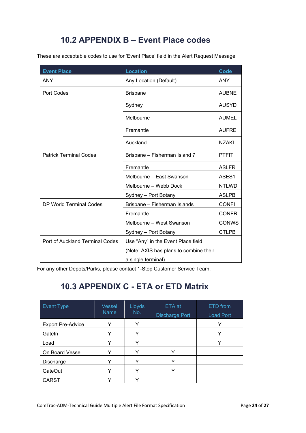# **10.2 APPENDIX B – Event Place codes**

<span id="page-25-0"></span>These are acceptable codes to use for 'Event Place' field in the Alert Request Message

| <b>Event Place</b>              | <b>Location</b>                        | Code         |
|---------------------------------|----------------------------------------|--------------|
| <b>ANY</b>                      | Any Location (Default)                 | <b>ANY</b>   |
| <b>Port Codes</b>               | <b>Brisbane</b>                        | <b>AUBNE</b> |
|                                 | Sydney                                 | <b>AUSYD</b> |
|                                 | Melbourne                              | <b>AUMEL</b> |
|                                 | Fremantle                              | <b>AUFRE</b> |
|                                 | Auckland                               | <b>NZAKL</b> |
| <b>Patrick Terminal Codes</b>   | Brisbane - Fisherman Island 7          | <b>PTFIT</b> |
|                                 | Fremantle                              | <b>ASLFR</b> |
|                                 | Melbourne - East Swanson               | ASES1        |
|                                 | Melbourne - Webb Dock                  | <b>NTLWD</b> |
|                                 | Sydney - Port Botany                   | <b>ASLPB</b> |
| <b>DP World Terminal Codes</b>  | Brisbane - Fisherman Islands           | <b>CONFI</b> |
|                                 | Fremantle                              | <b>CONFR</b> |
|                                 | Melbourne - West Swanson               | <b>CONWS</b> |
|                                 | Sydney - Port Botany                   | <b>CTLPB</b> |
| Port of Auckland Terminal Codes | Use "Any" in the Event Place field     |              |
|                                 | (Note: AXIS has plans to combine their |              |
|                                 | a single terminal).                    |              |

<span id="page-25-1"></span>For any other Depots/Parks, please contact 1-Stop Customer Service Team.

# **10.3 APPENDIX C - ETA or ETD Matrix**

| <b>Event Type</b>        | Vessel<br><b>Name</b> | Lloyds<br>No. | ETA at<br>Discharge Port | ETD from<br>Load Port |
|--------------------------|-----------------------|---------------|--------------------------|-----------------------|
| <b>Export Pre-Advice</b> |                       |               |                          | Υ                     |
| Gateln                   |                       |               |                          |                       |
| Load                     | ∨                     | ✓             |                          |                       |
| On Board Vessel          | v                     | v             | $\check{ }$              |                       |
| Discharge                |                       | v             | v                        |                       |
| <b>GateOut</b>           | v                     | v             | v                        |                       |
| <b>CARST</b>             |                       |               |                          |                       |